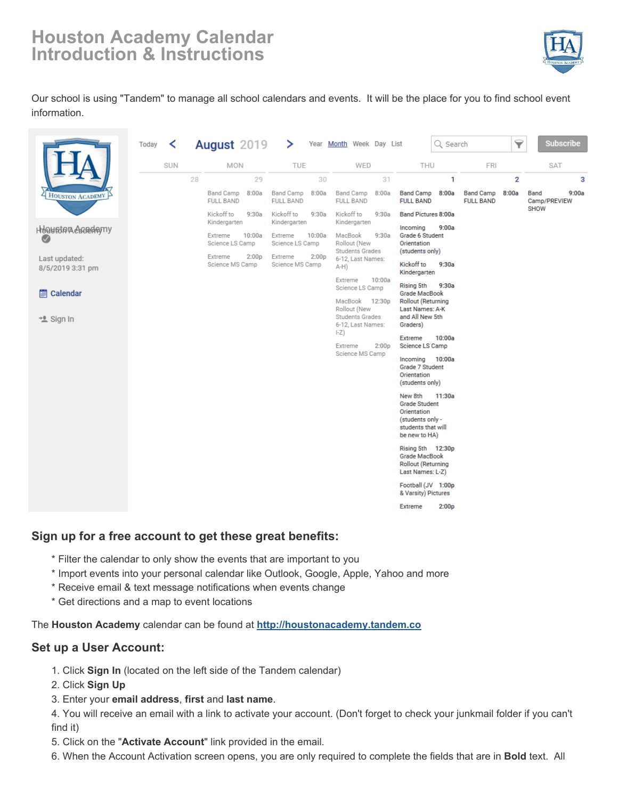# **Houston Academy Calendar Introduction & Instructions**



Our school is using "Tandem" to manage all school calendars and events. It will be the place for you to find school event information.

|                                   | <b>Today</b> | ≺          |    | <b>August 2019</b>                              | ⋗                                               | Year Month Week Day List                                                             |                                                                                                                     | Q Search                             | ᄝ              | <b>Subscribe</b>              |
|-----------------------------------|--------------|------------|----|-------------------------------------------------|-------------------------------------------------|--------------------------------------------------------------------------------------|---------------------------------------------------------------------------------------------------------------------|--------------------------------------|----------------|-------------------------------|
|                                   |              | <b>SUN</b> |    | <b>MON</b>                                      | <b>TUE</b>                                      | <b>WED</b>                                                                           | <b>THU</b>                                                                                                          | <b>FRI</b>                           |                | <b>SAT</b>                    |
|                                   |              |            | 28 | 29                                              | 30                                              | 31                                                                                   |                                                                                                                     | 1                                    | $\overline{2}$ | 3                             |
| HOUSTON ACADEMY                   |              |            |    | 8:00a<br><b>Band Camp</b><br><b>FULL BAND</b>   | <b>Band Camp</b><br>8:00a<br><b>FULL BAND</b>   | <b>Band Camp</b><br>8:00a<br><b>FULL BAND</b>                                        | <b>Band Camp</b><br>8:00a<br><b>FULL BAND</b>                                                                       | <b>Band Camp</b><br><b>FULL BAND</b> | 8:00a          | 9:00a<br>Band<br>Camp/PREVIEW |
|                                   |              |            |    | Kickoff to<br>9:30a<br>Kindergarten             | Kickoff to<br>9:30a<br>Kindergarten             | Kickoff to<br>9:30a<br>Kindergarten                                                  | <b>Band Pictures 8:00a</b><br>Incoming<br>9:00a                                                                     |                                      |                | <b>SHOW</b>                   |
| Houston Accedemy<br>$\checkmark$  |              |            |    | Extreme<br>10:00a<br>Science LS Camp            | Extreme<br>10:00a<br>Science LS Camp            | MacBook<br>9:30a<br><b>Rollout (New</b><br><b>Students Grades</b>                    | <b>Grade 6 Student</b><br>Orientation<br>(students only)                                                            |                                      |                |                               |
| Last updated:<br>8/5/2019 3:31 pm |              |            |    | Extreme<br>2:00 <sub>D</sub><br>Science MS Camp | Extreme<br>2:00 <sub>p</sub><br>Science MS Camp | 6-12, Last Names:<br>$A-H$ )                                                         | Kickoff to<br>9:30a<br>Kindergarten                                                                                 |                                      |                |                               |
| Calendar<br>兽                     |              |            |    |                                                 |                                                 | 10:00a<br>Extreme<br>Science LS Camp                                                 | <b>Rising 5th</b><br>9:30a<br><b>Grade MacBook</b>                                                                  |                                      |                |                               |
| * Sign In                         |              |            |    |                                                 |                                                 | MacBook 12:30p<br><b>Rollout (New</b><br><b>Students Grades</b><br>6-12, Last Names: | <b>Rollout (Returning</b><br>Last Names: A-K<br>and All New 5th<br>Graders)                                         |                                      |                |                               |
|                                   |              |            |    |                                                 |                                                 | $ -Z\rangle$<br>Extreme<br>2:00 <sub>p</sub>                                         | Extreme<br>10:00a<br>Science LS Camp                                                                                |                                      |                |                               |
|                                   |              |            |    |                                                 |                                                 | Science MS Camp                                                                      | 10:00a<br>Incoming<br>Grade 7 Student<br>Orientation<br>(students only)                                             |                                      |                |                               |
|                                   |              |            |    |                                                 |                                                 |                                                                                      | 11:30a<br>New 8th<br><b>Grade Student</b><br>Orientation<br>(students only -<br>students that will<br>be new to HA) |                                      |                |                               |
|                                   |              |            |    |                                                 |                                                 |                                                                                      | Rising 5th 12:30p<br><b>Grade MacBook</b><br><b>Rollout (Returning</b><br>Last Names: L-Z)                          |                                      |                |                               |
|                                   |              |            |    |                                                 |                                                 |                                                                                      | Football (JV 1:00p<br>& Varsity) Pictures                                                                           |                                      |                |                               |
|                                   |              |            |    |                                                 |                                                 |                                                                                      | 2:00p<br><b>Extreme</b>                                                                                             |                                      |                |                               |

#### **Sign up for a free account to get these great benefits:**

- \* Filter the calendar to only show the events that are important to you
- \* Import events into your personal calendar like Outlook, Google, Apple, Yahoo and more
- \* Receive email & text message notifications when events change
- \* Get directions and a map to event locations

The **Houston Academy** calendar can be found at **<http://houstonacademy.tandem.co>**

#### **Set up a User Account:**

- 1. Click **Sign In** (located on the left side of the Tandem calendar)
- 2. Click **Sign Up**
- 3. Enter your **email address**, **first** and **last name**.

4. You will receive an email with a link to activate your account. (Don't forget to check your junkmail folder if you can't find it)

- 5. Click on the "**Activate Account**" link provided in the email.
- 6. When the Account Activation screen opens, you are only required to complete the fields that are in **Bold** text. All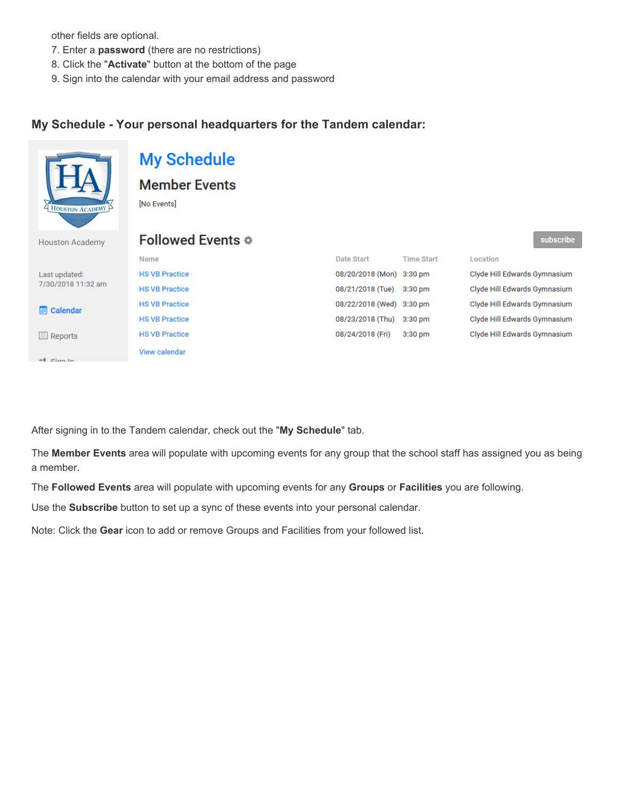other fields are optional.

- 7. Enter a **password** (there are no restrictions)
- 8. Click the "**Activate**" button at the bottom of the page
- 9. Sign into the calendar with your email address and password

#### **My Schedule - Your personal headquarters for the Tandem calendar:**

|                                     | <b>My Schedule</b><br><b>Member Events</b> |                          |                   |                              |           |  |  |  |
|-------------------------------------|--------------------------------------------|--------------------------|-------------------|------------------------------|-----------|--|--|--|
| HOUSTON ACADEMY                     | [No Events]                                |                          |                   |                              |           |  |  |  |
| <b>Houston Academy</b>              | Followed Events *                          |                          |                   |                              | subscribe |  |  |  |
|                                     | Name                                       | Date Start               | <b>Time Start</b> | Location                     |           |  |  |  |
| Last updated:<br>7/30/2018 11:32 am | <b>HS VB Practice</b>                      | 08/20/2018 (Mon) 3:30 pm |                   | Clyde Hill Edwards Gymnasium |           |  |  |  |
|                                     | <b>HS VB Practice</b>                      | 08/21/2018 (Tue)         | $3:30$ pm         | Clyde Hill Edwards Gymnasium |           |  |  |  |
| Calendar<br>頁                       | <b>HS VB Practice</b>                      | 08/22/2018 (Wed)         | 3:30 pm           | Clyde Hill Edwards Gymnasium |           |  |  |  |
|                                     | <b>HS VB Practice</b>                      | 08/23/2018 (Thu)         | $3:30$ pm         | Clyde Hill Edwards Gymnasium |           |  |  |  |
| $\Box$ Reports                      | <b>HS VB Practice</b>                      | 08/24/2018 (Fri)         | 3:30 pm           | Clyde Hill Edwards Gymnasium |           |  |  |  |
| $+0$ Cian In                        | View calendar                              |                          |                   |                              |           |  |  |  |

After signing in to the Tandem calendar, check out the "**My Schedule**" tab.

The **Member Events** area will populate with upcoming events for any group that the school staff has assigned you as being a member.

The **Followed Events** area will populate with upcoming events for any **Groups** or **Facilities** you are following.

Use the **Subscribe** button to set up a sync of these events into your personal calendar.

Note: Click the **Gear** icon to add or remove Groups and Facilities from your followed list.